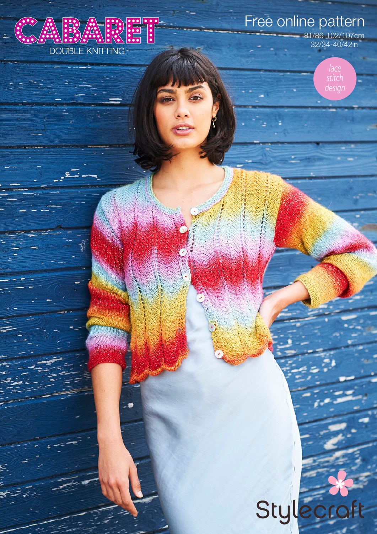

ø

ź

Free online pattern

81/86-102/107cm 32/34-40/42in

> *lace stitch design*

# Stylecroft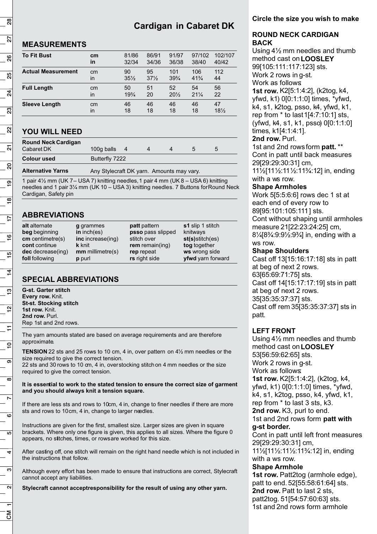# **Cardigan in Cabaret DK**

## **MEASUREMENTS**

| <b>To Fit Bust</b>        | cm | 81/86           | 86/91           | 91/97           | 97/102          | 102/107 |
|---------------------------|----|-----------------|-----------------|-----------------|-----------------|---------|
|                           | in | 32/34           | 34/36           | 36/38           | 38/40           | 40/42   |
| <b>Actual Measurement</b> | cm | 90              | 95              | 101             | 106             | 112     |
|                           | in | $35\frac{1}{2}$ | $37\frac{1}{2}$ | $39\frac{3}{4}$ | $41\frac{3}{4}$ | 44      |
| <b>Full Length</b>        | cm | 50              | 51              | 52              | 54              | 56      |
|                           | in | $19\frac{3}{4}$ | 20              | $20\frac{1}{2}$ | $21\frac{1}{4}$ | 22      |
| <b>Sleeve Length</b>      | cm | 46              | 46              | 46              | 46              | 47      |
|                           | in | 18              | 18              | 18              | 18              | $18\%$  |

# **YOU WILL NEED**

| <b>Round Neck Cardigan</b><br>Cabaret DK | 100g balls     |  | :5 |  |
|------------------------------------------|----------------|--|----|--|
| <b>Colour used</b>                       | Butterfly 7222 |  |    |  |

**Alternative Yarns** Any Stylecraft DK yarn. Amounts may vary.

1 pair 4½ mm (UK 7 – USA 7) knitting needles, 1 pair 4 mm (UK 8 – USA 6) knitting needles and 1 pair 3¼ mm (UK 10 – USA 3) knitting needles. 7 Buttons for Round Neck Cardigan, Safety pin

# **ABBREVIATIONS**

| alt alternate      | g grammes          | <b>patt</b> pattern | s1 slip 1 stitch      |
|--------------------|--------------------|---------------------|-----------------------|
| beg beginning      | in $inch(es)$      | psso pass slipped   | knitways              |
| $cm$ centimetre(s) | inc increase(ing)  | stitch over         | $st(s)$ stitch $(es)$ |
| cont continue      | <b>k</b> knit      | $rem$ remain(ing)   | tog together          |
| dec decrease(ing)  | $mm$ millimetre(s) | rep repeat          | ws wrong side         |
| foll following     | p purl             | rs right side       | yfwd yarn forward     |

# **SPECIAL ABBREVIATIONS**

**G-st. Garter stitch Every row.** Knit. **St-st. Stocking stitch** 1st row. Knit. 2nd row. Purl. Rep 1st and 2nd rows.

The yarn amounts stated are based on average requirements and are therefore approximate.

**TENSION** 22 sts and 25 rows to 10 cm, 4 in, over pattern on 4½ mm needles or the size required to give the correct tension.

22 sts and 30 rows to 10 cm, 4 in, over stocking stitch on 4 mm needles or the size required to give the correct tension.

#### **It is essential to work to the stated tension to ensure the correct size of garment and you should always knit a tension square.**

If there are less sts and rows to 10cm, 4 in, change to finer needles if there are more sts and rows to 10cm, 4 in, change to larger needles.

Instructions are given for the first, smallest size. Larger sizes are given in square brackets. Where only one figure is given, this applies to all sizes. Where the figure 0 appears, no stitches, times, or rows are worked for this size.

After casting off, one stitch will remain on the right hand needle which is not included in the instructions that follow.

Although every effort has been made to ensure that instructions are correct, Stylecraft cannot accept any liabilities.

**Stylecraft cannot acceptresponsibility for the result of using any other yarn.**

### **Circle the size you wish to make**

#### **ROUND NECK CARDIGAN BACK**

Using 4½ mm needles and thumb method cast on **LOOSLEY** 99[105:111:117:123] sts. Work 2 rows in g-st. Work as follows: **1st row.** K2[5:1:4:2], (k2tog, k4, yfwd, k1) 0[0:1:1:0] times, \*yfwd, k4, s1, k2tog, psso, k4, yfwd, k1, rep from \* to last 1[4:7:10:1] sts, (yfwd, k4, s1, k1, psso) 0[0:1:1:0] times, k1[4:1:4:1]. **2nd row.** Purl.

1st and 2nd rows form **patt.** \*\* Cont in patt until back measures 29[29:29:30:31] cm, 11½[11½:11½:11¾:12] in, ending with a ws row.

#### **Shape Armholes**

Work 5[5:5:6:6] rows dec 1 st at each end of every row to 89[95:101:105:111] sts. Cont without shaping until armholes measure 21[22:23:24:25] cm, 8¼[8¾:9:9½:9¾] in, ending with a ws row.

#### **Shape Shoulders**

Cast off 13[15:16:17:18] sts in patt at beg of next 2 rows. 63[65:69:71:75] sts. Cast off 14[15:17:17:19] sts in patt at beg of next 2 rows. 35[35:35:37:37] sts. Cast off rem 35[35:35:37:37] sts in patt.

## **LEFT FRONT**

Using 4½ mm needles and thumb method cast on**LOOSLEY** 53[56:59:62:65] sts. Work 2 rows in g-st. Work as follows: **1st row.** K2[5:1:4:2], (k2tog, k4, yfwd, k1) 0[0:1:1:0] times, \*yfwd, k4, s1, k2tog, psso, k4, yfwd, k1, rep from \* to last 3 sts, k3. **2nd row.** K3, purl to end. 1st and 2nd rows form **patt with g-st border.**  Cont in patt until left front measures

29[29:29:30:31] cm, 11½[11½:11½:11¾:12] in, ending with a ws row.

#### **Shape Armhole**

**1st row.** Patt2tog (armhole edge), patt to end. 52[55:58:61:64] sts. **2nd row.** Patt to last 2 sts, patt2tog. 51[54:57:60:63] sts. 1st and 2nd rows form armhole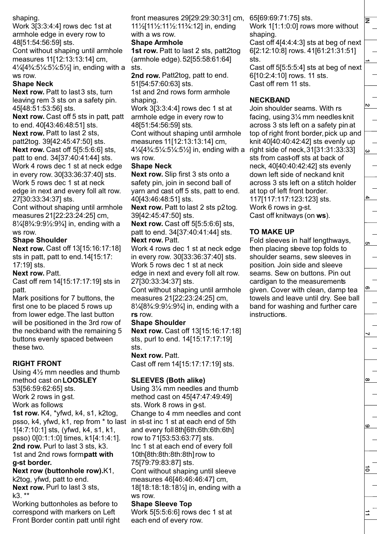shaping.

Work 3[3:3:4:4] rows dec 1st at armhole edge in every row to 48[51:54:56:59] sts.

Cont without shaping until armhole measures 11[12:13:13:14] cm, 4¼[4¾:5¼:5¼:5½] in, ending with a ws row.

#### **Shape Neck**

**Next row.** Patt to last 3 sts, turn leaving rem 3 sts on a safety pin. 45[48:51:53:56] sts.

**Next row.** Cast off 5 sts in patt, patt to end. 40[43:46:48:51] sts.

**Next row.** Patt to last 2 sts, patt2tog. 39[42:45:47:50] sts. **Next row.** Cast off 5[5:5:6:6] sts, patt to end. 34[37:40:41:44] sts. Work 4 rows dec 1 st at neck edge in every row. 30[33:36:37:40] sts. Work 5 rows dec 1 st at neck edge in next and every foll alt row. 27[30:33:34:37] sts.

Cont without shaping until armhole measures 21[22:23:24:25] cm, 8¼[8¾:9:9½:9¾] in, ending with a ws row.

#### **Shape Shoulder**

**Next row. Cast off 13[15:16:17:18]** sts in patt, patt to end. 14[15:17: 17:19] sts.

#### **Next row.** Patt.

Cast off rem 14[15:17:17:19] sts in patt.

Mark positions for 7 buttons, the first one to be placed 5 rows up from lower edge. The last button will be positioned in the 3rd row of the neckband with the remaining 5 buttons evenly spaced between these two.

#### **RIGHT FRONT**

Using 4½ mm needles and thumb method cast on**LOOSLEY** 53[56:59:62:65] sts. Work 2 rows in g-st. Work as follows: **1st row.** K4, \*yfwd, k4, s1, k2tog, psso, k4, yfwd, k1, rep from \* to last in st-st inc 1 st at each end of 5th 1[4:7:10:1] sts, (yfwd, k4, s1, k1, psso) 0[0:1:1:0] times, k1[4:1:4:1]. **2nd row.** Purl to last 3 sts, k3.

#### 1st and 2nd rows form **patt with g-st border.**

**Next row (buttonhole row).** K1, k2tog, yfwd, patt to end. **Next row.** Purl to last 3 sts, k3. \*\*

Working buttonholes as before to correspond with markers on Left Front Border contin patt until right front measures 29[29:29:30:31] cm, 11½[11½:11½:11¾:12] in, ending with a ws row.

#### **Shape Armhole**

**1st row.** Patt to last 2 sts, patt2tog (armhole edge). 52[55:58:61:64] sts.

**2nd row.** Patt2tog, patt to end. 51[54:57:60:63] sts.

1st and 2nd rows form armhole shaping.

Work 3[3:3:4:4] rows dec 1 st at armhole edge in every row to 48[51:54:56:59] sts.

Cont without shaping until armhole measures 11[12:13:13:14] cm,

4¼[4¾:5¼:5¼:5½] in, ending with a ws row.

#### **Shape Neck**

**Next row.** Slip first 3 sts onto a safety pin, join in second ball of yarn and cast off 5 sts, patt to end. 40[43:46:48:51] sts.

**Next row.** Patt to last 2 sts p2tog. 39[42:45:47:50] sts.

**Next row.** Cast off 5[5:5:6:6] sts, patt to end. 34[37:40:41:44] sts. **Next row.** Patt.

Work 4 rows dec 1 st at neck edge in every row. 30[33:36:37:40] sts. Work 5 rows dec 1 st at neck edge in next and every foll alt row. 27[30:33:34:37] sts.

Cont without shaping until armhole measures 21[22:23:24:25] cm, 8¼[8¾:9:9½:9¾] in, ending with a **rs** row.

#### **Shape Shoulder**

**Next row.** Cast off 13[15:16:17:18] sts, purl to end. 14[15:17:17:19] sts.

**Next row.** Patt.

Cast off rem 14[15:17:17:19] sts.

#### **SLEEVES (Both alike)**

each end of every row.

Using 3¼ mm needles and thumb method cast on 45[47:47:49:49] sts. Work 8 rows in g-st. Change to 4 mm needles and cont and every foll 8th[6th:6th:6th:6th] row to 71[53:53:63:77] sts. Inc 1 st at each end of every foll 10th[8th:8th:8th:8th] row to 75[79:79:83:87] sts. Cont without shaping until sleeve measures 46[46:46:46:47] cm, 18[18:18:18:18½] in, ending with a ws row. **Shape Sleeve Top** Work 5[5:5:6:6] rows dec 1 st at

65[69:69:71:75] sts.

Work 1[1:1:0:0] rows more without shaping.

Cast off 4[4:4:4:3] sts at beg of next 6[2:12:10:8] rows. 41[61:21:31:51] sts.

Cast off 5[5:5:5:4] sts at beg of next 6[10:2:4:10] rows. 11 sts. Cast off rem 11 sts.

## **NECKBAND**

Join shoulder seams. With rs facing, using 3¼ mm needles knit across 3 sts left on a safety pin at top of right front border, pick up and knit 40[40:40:42:42] sts evenly up right side of neck, 31[31:31:33:33] sts from cast-off sts at back of neck, 40[40:40:42:42] sts evenly down left side of neck and knit across 3 sts left on a stitch holder at top of left front border. 117[117:117:123:123] sts. Work 6 rows in g-st. Cast off knitways (on **ws**).

# **TO MAKE UP**

Fold sleeves in half lengthways, then placing sleeve top folds to shoulder seams, sew sleeves in position. Join side and sleeve seams. Sew on buttons. Pin out cardigan to the measurements given. Cover with clean, damp tea towels and leave until dry. See ball band for washing and further care instructions.

ၜ

 $\infty$ 

 $\mathbf \omega$ 

る

 $\overrightarrow{=}$ 

ຕ

z.

 $\mathbf{v}$ 

 $\overline{\omega}$